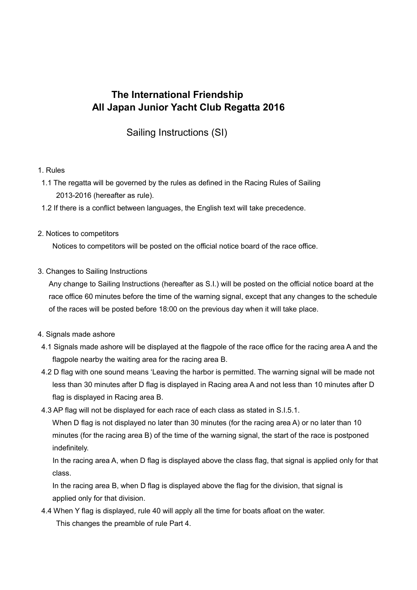# **The International Friendship All Japan Junior Yacht Club Regatta 2016**

Sailing Instructions (SI)

#### 1. Rules

- 1.1 The regatta will be governed by the rules as defined in the Racing Rules of Sailing 2013-2016 (hereafter as rule).
- 1.2 If there is a conflict between languages, the English text will take precedence.

#### 2. Notices to competitors

Notices to competitors will be posted on the official notice board of the race office.

3. Changes to Sailing Instructions

 Any change to Sailing Instructions (hereafter as S.I.) will be posted on the official notice board at the race office 60 minutes before the time of the warning signal, except that any changes to the schedule of the races will be posted before 18:00 on the previous day when it will take place.

- 4. Signals made ashore
- 4.1 Signals made ashore will be displayed at the flagpole of the race office for the racing area A and the flagpole nearby the waiting area for the racing area B.
- 4.2 D flag with one sound means 'Leaving the harbor is permitted. The warning signal will be made not less than 30 minutes after D flag is displayed in Racing area A and not less than 10 minutes after D flag is displayed in Racing area B.
- 4.3 AP flag will not be displayed for each race of each class as stated in S.I.5.1.

When D flag is not displayed no later than 30 minutes (for the racing area A) or no later than 10 minutes (for the racing area B) of the time of the warning signal, the start of the race is postponed indefinitely.

 In the racing area A, when D flag is displayed above the class flag, that signal is applied only for that class.

 In the racing area B, when D flag is displayed above the flag for the division, that signal is applied only for that division.

4.4 When Y flag is displayed, rule 40 will apply all the time for boats afloat on the water.

This changes the preamble of rule Part 4.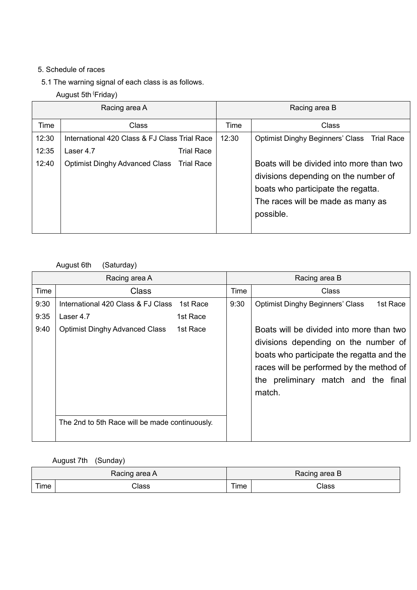### 5. Schedule of races

- 5.1 The warning signal of each class is as follows.
	- August 5th (Friday)

| Racing area A |                                                            |  | Racing area B |                                                                                                                                                                          |  |  |
|---------------|------------------------------------------------------------|--|---------------|--------------------------------------------------------------------------------------------------------------------------------------------------------------------------|--|--|
| Time          | <b>Class</b>                                               |  | Time          | Class                                                                                                                                                                    |  |  |
| 12:30         | International 420 Class & FJ Class Trial Race              |  | 12:30         | Optimist Dinghy Beginners' Class Trial Race                                                                                                                              |  |  |
| 12:35         | <b>Trial Race</b><br>Laser 4.7                             |  |               |                                                                                                                                                                          |  |  |
| 12:40         | <b>Optimist Dinghy Advanced Class</b><br><b>Trial Race</b> |  |               | Boats will be divided into more than two<br>divisions depending on the number of boats<br>who participate the regatta.<br>The races will be made as many as<br>possible. |  |  |

## August 6th (Saturday)

| Racing area A |                                                   |          | Racing area B |                                                                                                                                                                                                                               |  |
|---------------|---------------------------------------------------|----------|---------------|-------------------------------------------------------------------------------------------------------------------------------------------------------------------------------------------------------------------------------|--|
| Time          | <b>Class</b>                                      |          | Time          | <b>Class</b>                                                                                                                                                                                                                  |  |
| 9:30          | International 420 Class & FJ Class                | 1st Race | 9:30          | <b>Optimist Dinghy Beginners' Class</b><br>1st Race                                                                                                                                                                           |  |
| 9:35          | Laser 4.7                                         | 1st Race |               |                                                                                                                                                                                                                               |  |
| 9:40          | <b>Optimist Dinghy Advanced Class</b><br>1st Race |          |               | Boats will be divided into more than two<br>depending on the number of<br>divisions<br>boats who participate the regatta and the<br>races will be performed by the method of the<br>match and the final match.<br>preliminary |  |
|               | The 2nd to 5th Race will be made continuously.    |          |               |                                                                                                                                                                                                                               |  |

### August 7th (Sunday)

| Racing area A |       | Racing area B                    |       |  |
|---------------|-------|----------------------------------|-------|--|
| Time          | Class | $\overline{\phantom{a}}$<br>lime | Class |  |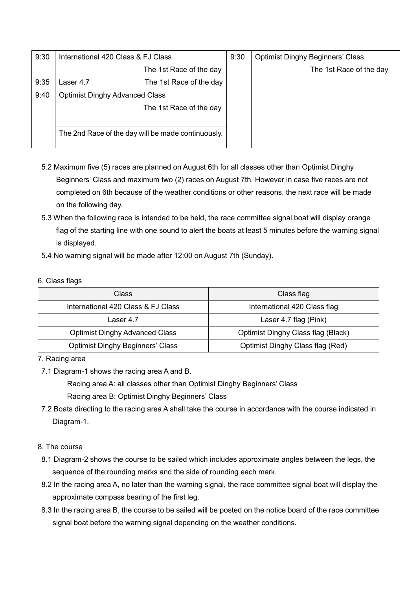| 9:30 | International 420 Class & FJ Class                 |                         | 9:30 | <b>Optimist Dinghy Beginners' Class</b> |  |
|------|----------------------------------------------------|-------------------------|------|-----------------------------------------|--|
|      | The 1st Race of the day                            |                         |      | The 1st Race of the day                 |  |
| 9:35 | Laser 4.7                                          | The 1st Race of the day |      |                                         |  |
| 9:40 | <b>Optimist Dinghy Advanced Class</b>              |                         |      |                                         |  |
|      | The 1st Race of the day                            |                         |      |                                         |  |
|      |                                                    |                         |      |                                         |  |
|      | The 2nd Race of the day will be made continuously. |                         |      |                                         |  |
|      |                                                    |                         |      |                                         |  |

- 5.2 Maximum five (5) races are planned on August 6th for all classes other than Optimist Dinghy Beginners' Class and maximum two (2) races on August 7th. However in case five races are not completed on 6th because of the weather conditions or other reasons, the next race will be made on the following day.
- 5.3 When the following race is intended to be held, the race committee signal boat will display orange flag of the starting line with one sound to alert the boats at least 5 minutes before the warning signal is displayed.
- 5.4 No warning signal will be made after 12:00 on August 7th (Sunday).
- 6. Class flags

| Class                                   | Class flag                         |  |
|-----------------------------------------|------------------------------------|--|
| International 420 Class & FJ Class      | International 420 Class flag       |  |
| Laser 4.7                               | Laser 4.7 flag (Pink)              |  |
| <b>Optimist Dinghy Advanced Class</b>   | Optimist Dinghy Class flag (Black) |  |
| <b>Optimist Dinghy Beginners' Class</b> | Optimist Dinghy Class flag (Red)   |  |

#### 7. Racing area

7.1 Diagram-1 shows the racing area A and B.

Racing area A: all classes other than Optimist Dinghy Beginners' Class Racing area B: Optimist Dinghy Beginners' Class

- 7.2 Boats directing to the racing area A shall take the course in accordance with the course indicated in Diagram-1.
- 8. The course
- 8.1 Diagram-2 shows the course to be sailed which includes approximate angles between the legs, the sequence of the rounding marks and the side of rounding each mark.
- 8.2 In the racing area A, no later than the warning signal, the race committee signal boat will display the approximate compass bearing of the first leg.
- 8.3 In the racing area B, the course to be sailed will be posted on the notice board of the race committee signal boat before the warning signal depending on the weather conditions.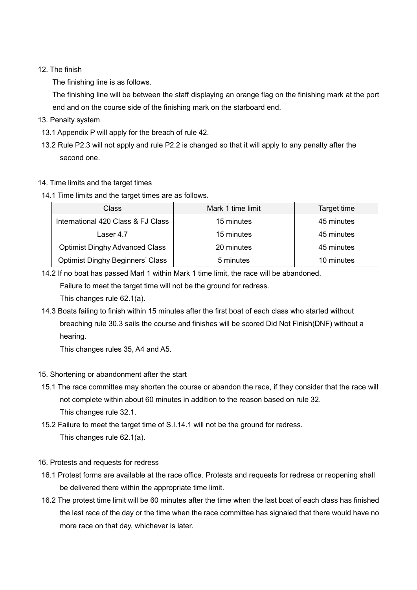#### 12. The finish

The finishing line is as follows.

The finishing line will be between the staff displaying an orange flag on the finishing mark at the port end and the finishing mark at the starboard end on the course side.

- 13. Penalty system
- 13.1 Appendix P will apply for the breach of rule 42.
- 13.2 Rule P2.3 will not apply and rule P2.2 is changed so that it will apply to any penalty after the second one.
- 14. Time limits and the target times
- 14.1 Time limits and the target times are as follows.

| Class                                   | Mark 1 time limit | Target time |
|-----------------------------------------|-------------------|-------------|
| International 420 Class & FJ Class      | 15 minutes        | 45 minutes  |
| Laser 4.7                               | 15 minutes        | 45 minutes  |
| <b>Optimist Dinghy Advanced Class</b>   | 20 minutes        | 45 minutes  |
| <b>Optimist Dinghy Beginners' Class</b> | 5 minutes         | 10 minutes  |

14.2 If no boat has passed Marl 1 within Mark 1 time limit, the race will be abandoned.

Failure to meet the target time will not be the ground for redress.

This changes rule 62.1(a).

14.3 Boats failing to finish within 15 minutes after the first boat of each class who started without breaching rule 30.3 sails the course and finishes will be scored Did Not Finish(DNF) without a hearing.

This changes rules 35, A4 and A5.

#### 15. Shortening or abandonment after the start

- 15.1 The race committee may shorten the course or abandon the race, if they consider that the race will not complete within about 60 minutes in addition to the reason based on rule 32. This changes rule 32.1.
- 15.2 Failure to meet the target time of S.I.14.1 will not be the ground for redress. This changes rule 62.1(a).
- 16. Protests and requests for redress
- 16.1 Protest forms are available at the race office. Protests and requests for redress or reopening shall be delivered there within the appropriate time limit.
- 16.2 The protest time limit will be 60 minutes after the time when the last boat of each class has finished the last race of the day or the time when the race committee has signaled that there would have no more race on that day, whichever is later.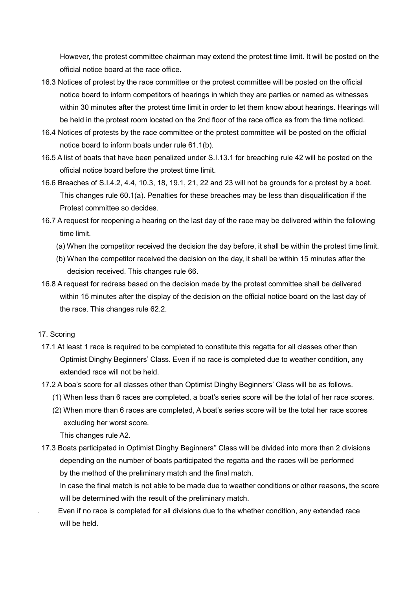However, the protest committee chairman may extend the protest time limit. It will be posted on the official notice board at the race office.

- 16.3 Notices of protest by the race committee or the protest committee will be posted on the official notice board to inform competitors of hearings in which they are parties or named as witnesses within 30 minutes after the protest time limit in order to let them know about hearings. Hearings will be held in the protest room located on the 2nd floor of the race office as from the time noticed.
- 16.4 Notices of protests by the race committee or the protest committee will be posted on the official notice board to inform boats under rule 61.1(b).
- 16.5 A list of boats that have been penalized under S.I.13.1 for breaching rule 42 will be posted on the official notice board before the protest time limit.
- 16.6 Breaches of S.I.4.2, 4.4, 10.3, 18, 19.1, 21, 22 and 23 will not be grounds for a protest by a boat. This changes rule 60.1(a). Penalties for these breaches may be less than disqualification if the Protest committee so decides.
- 16.7 A request for reopening a hearing on the last day of the race may be delivered within the following time limit.
	- (a) When the competitor received the decision the day before, it shall be within the protest time limit.
	- (b) When the competitor received the decision on the day, it shall be within 15 minutes after the decision received. This changes rule 66.
- 16.8 A request for redress based on the decision made by the protest committee shall be delivered within 15 minutes after the display of the decision on the official notice board on the last day of the race. This changes rule 62.2.

#### 17. Scoring

- 17.1 At least 1 race is required to be completed to constitute this regatta for all classes other than Optimist Dinghy Beginners' Class. Even if no race is completed due to weather condition, any extended race will not be held.
- 17.2 A boat's score for all classes other than Optimist Dinghy Beginners' Class will be as follows.
	- (1) When less than 6 races are completed, a boat's series score will be the total of her race scores.
	- (2) When more than 6 races are completed, A boat's series score will be the total her race scores excluding her worst score.

This changes rule A2.

17.3 Boats participated in Optimist Dinghy Beginners'' Class will be divided into more than 2 divisions depending on the number of boats participated the regatta and the races will be performed by the method of the preliminary match and the final match.

In case the final match is not able to be made due to weather conditions or other reasons, the score will be determined with the result of the preliminary match.

. Even if no race is completed for all divisions due to the whether condition, any extended race will be held.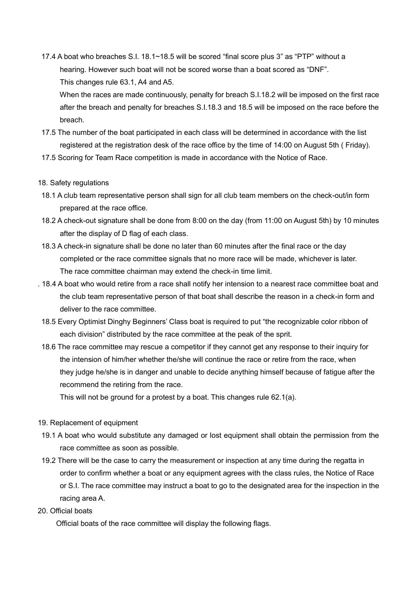17.4 A boat who breaches S.I. 18.1~18.5 will be scored "final score plus 3" as "PTP" without a hearing. However such boat will not be scored worse than a boat scored as "DNF". This changes rule 63.1, A4 and A5.

When the races are made continuously, penalty for breach S.I.18.2 will be imposed on the first race after the breach and penalty for breaches S.I.18.3 and 18.5 will be imposed on the race before the breach.

- 17.5 The number of the boat participated in each class will be determined in accordance with the list registered at the registration desk of the race office by the time of 14:00 on August 5th ( Friday).
- 17.5 Scoring for Team Race competition is made in accordance with the Notice of Race.

#### 18. Safety regulations

- 18.1 A club team representative person shall sign for all club team members on the check-out/in form prepared at the race office.
- 18.2 A check-out signature shall be done from 8:00 on the day (from 11:00 on August 5th) by 10 minutes after the display of D flag of each class.
- 18.3 A check-in signature shall be done no later than 60 minutes after the final race or the day completed or the race committee signals that no more race will be made, whichever is later. The race committee chairman may extend the check-in time limit.
- . 18.4 A boat who would retire from a race shall notify her intension to a nearest race committee boat and the club team representative person of that boat shall describe the reason in a check-in form and deliver to the race committee.
- 18.5 Every Optimist Dinghy Beginners' Class boat is required to put "the recognizable color ribbon of each division" distributed by the race committee at the peak of the sprit.
- 18.6 The race committee may rescue a competitor if they cannot get any response to their inquiry for the intension of him/her whether he/she will continue the race or retire from the race, when they judge he/she is in danger and unable to decide himself/herself because of fatigue after they recommend the retiring from the race.

This will not be the ground for a protest by a boat. This changes rule 62.1(a).

- 19. Replacement of equipment
- 19.1 A boat who would substitute any damaged or lost equipment shall obtain the permission from the race committee as soon as possible.
- 19.2 There will be the case to carry the measurement or inspection at any time during the regatta in order to confirm whether a boat or any equipment agrees with the class rules, the Notice of Race or S.I. The race committee may instruct a boat to go to the designated area for the inspection in the racing area A.
- 20. Official boats

Official boats of the race committee will display the following flags.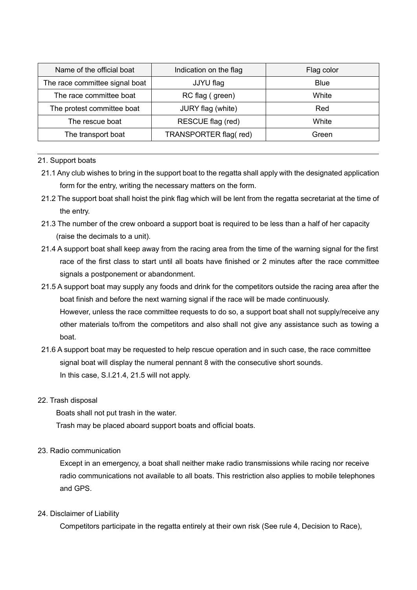| Name of the official boat      | Indication on the flag | Flag color  |  |
|--------------------------------|------------------------|-------------|--|
| The race committee signal boat | JJYU flag              | <b>Blue</b> |  |
| The race committee boat        | RC flag (green)        | White       |  |
| The protest committee boat     | JURY flag (white)      | Red         |  |
| The rescue boat                | RESCUE flag (red)      | White       |  |
| The transport boat             | TRANSPORTER flag(red)  | Green       |  |

#### 21. Support boats

- 21.1 Any club wishes to bring in the support boat to the regatta shall apply with the designated application form for the entry, writing the necessary matters on the form.
- 21.2 The support boat shall hoist the pink flag which will be lent from the regatta secretariat at the time of the entry.
- 21.3 The number of the crew onboard a support boat is required to be less than a half of her capacity (raise the decimals to a unit).
- 21.4 A support boat shall keep away from the racing area from the time of the warning signal for the first race of the first class to start until all boats have finished or 2 minutes after the race committee signals a postponement or abandonment.
- 21.5 A support boat may supply any foods and drink for the competitors outside the racing area after the boat finishes and before the next warning signal is made if the race will be made continuously. However, unless the race committee requests to do so, a support boat shall not supply/receive any other materials to/from the competitors and also shall not give any assistance such as towing a boat.
- 21.6 A support boat may be requested to help rescue operation and in such case, the race committee signal boat will display the numeral pennant 8 with the consecutive short sounds. In this case, S.I.21.4, 21.5 will not apply.

#### 22. Trash disposal

Boats shall not put trash in the water.

Trash may be placed aboard support boats and official boats.

23. Radio communication

Except in an emergency, a boat shall neither make radio transmissions while racing nor receive radio communications not available to all boats. This restriction also applies to mobile telephones and GPS.

#### 24. Disclaimer of Liability

Competitors participate in the regatta entirely at their own risk (See rule 4, Decision to Race),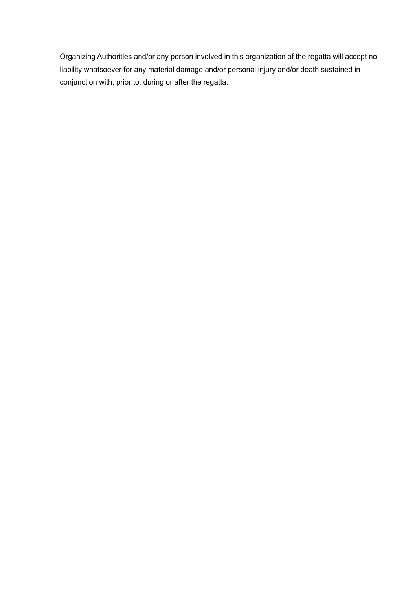Organizing Authorities and/or any person involved in this organization of the regatta will accept no liability whatsoever for any material damage and/or personal injury and/or death sustained in conjunction with, prior to, during or after the regatta.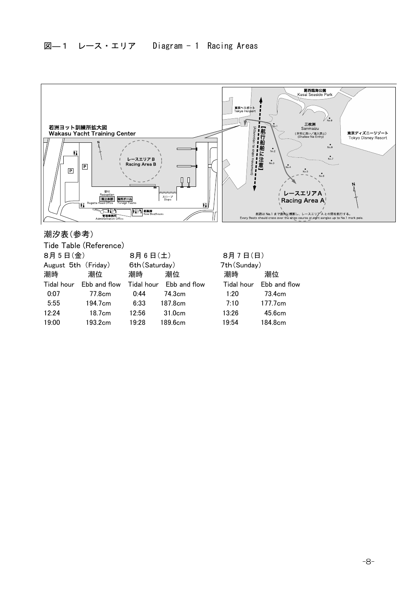

潮汐表(参考)

Tide Table (Reference) 8月5日(金) 8月6日(土) 8月7日(日) August 5th (Friday) 6th (Saturday) 7 潮時 潮位 潮時 潮位 潮時 潮位 Tidal hour Ebb and flow Tidal hour Ebb and flow 0:07 77.8cm 0:44 74.3cm 1:20 73.4cm 5:55 194.7cm 6:33 187.8cm 12:24 18.7cm 12:56 31.0cm 13:26 45.6cm

| August 5th (Friday) |              | 6th (Saturday) |                         | 7th (Sunday) |                         |
|---------------------|--------------|----------------|-------------------------|--------------|-------------------------|
| 潮時                  | 潮位           | 潮時             | 潮位                      | 潮時           | 潮位                      |
| Tidal hour          | Ebb and flow |                | Tidal hour Ebb and flow |              | Tidal hour Ebb and flow |
| 0:07                | 77.8cm       | 0:44           | 74.3cm                  | 1:20         | 73.4cm                  |
| 5:55                | 194.7cm      | 6:33           | 187.8cm                 | 7:10         | 177.7cm                 |
| 12:24               | 18.7cm       | 12:56          | 31.0cm                  | 13:26        | 45.6cm                  |
| 19:00               | 193.2cm      | 19:28          | 189.6cm                 | 19:54        | 184.8cm                 |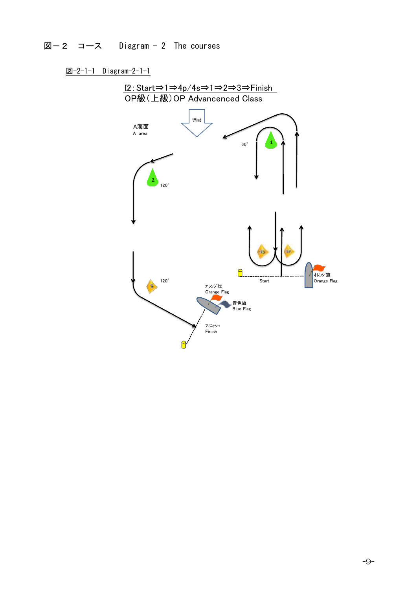# $\boxtimes -2$   $\Box -7$  Diagram - 2 The courses

### $\underline{\boxtimes}$ -2-1-1 Diagram-2-1-1

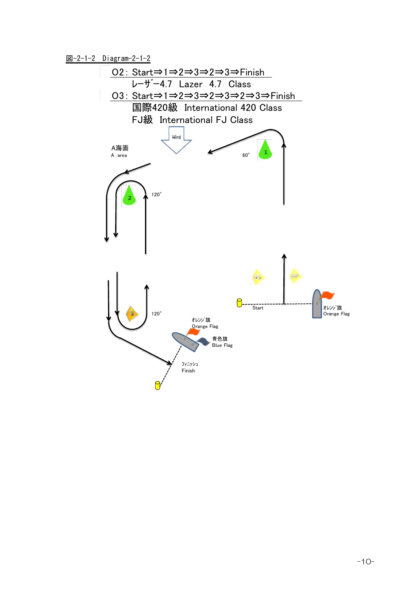